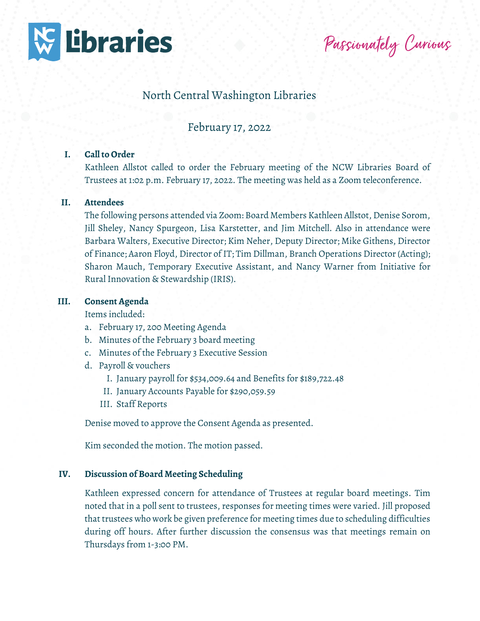

Passionately Curious

# North Central Washington Libraries

# February 17, 2022

# **I. Call to Order**

Kathleen Allstot called to order the February meeting of the NCW Libraries Board of Trustees at 1:02 p.m. February 17, 2022. The meeting was held as a Zoom teleconference.

### **II. Attendees**

The following persons attended via Zoom: Board Members Kathleen Allstot, Denise Sorom, Jill Sheley, Nancy Spurgeon, Lisa Karstetter, and Jim Mitchell. Also in attendance were Barbara Walters, Executive Director; Kim Neher, Deputy Director; Mike Githens, Director of Finance; Aaron Floyd, Director of IT; Tim Dillman, Branch Operations Director (Acting); Sharon Mauch, Temporary Executive Assistant, and Nancy Warner from Initiative for Rural Innovation & Stewardship (IRIS).

### **III. Consent Agenda**

Items included:

- a. February 17, 200 Meeting Agenda
- b. Minutes of the February 3 board meeting
- c. Minutes of the February 3 Executive Session
- d. Payroll & vouchers
	- I. January payroll for \$534,009.64 and Benefits for \$189,722.48
	- II. January Accounts Payable for \$290,059.59
	- III. Staff Reports

Denise moved to approve the Consent Agenda as presented.

Kim seconded the motion. The motion passed.

## **IV. Discussion of Board Meeting Scheduling**

Kathleen expressed concern for attendance of Trustees at regular board meetings. Tim noted that in a poll sent to trustees, responses for meeting times were varied. Jill proposed that trustees who work be given preference for meeting times due to scheduling difficulties during off hours. After further discussion the consensus was that meetings remain on Thursdays from 1-3:00 PM.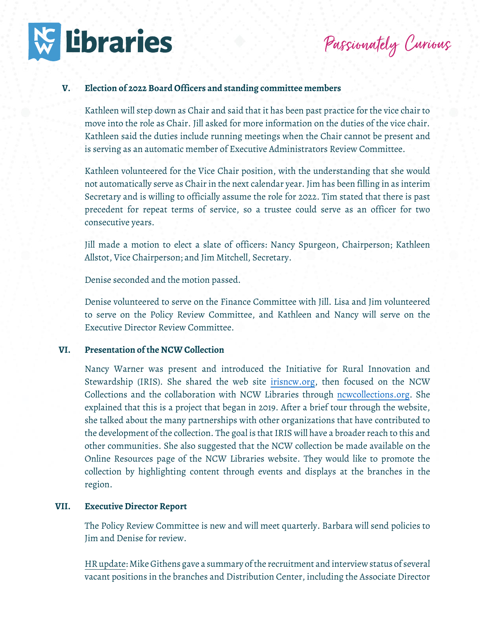

Passionately Curious

# **V. Election of 2022 Board Officers and standing committee members**

Kathleen will step down as Chair and said that it has been past practice for the vice chair to move into the role as Chair. Jill asked for more information on the duties of the vice chair. Kathleen said the duties include running meetings when the Chair cannot be present and is serving as an automatic member of Executive Administrators Review Committee.

Kathleen volunteered for the Vice Chair position, with the understanding that she would not automatically serve as Chair in the next calendar year. Jim has been filling in as interim Secretary and is willing to officially assume the role for 2022. Tim stated that there is past precedent for repeat terms of service, so a trustee could serve as an officer for two consecutive years.

Jill made a motion to elect a slate of officers: Nancy Spurgeon, Chairperson; Kathleen Allstot, Vice Chairperson; and Jim Mitchell, Secretary.

Denise seconded and the motion passed.

Denise volunteered to serve on the Finance Committee with Jill. Lisa and Jim volunteered to serve on the Policy Review Committee, and Kathleen and Nancy will serve on the Executive Director Review Committee.

# **VI. Presentation of the NCW Collection**

Nancy Warner was present and introduced the Initiative for Rural Innovation and Stewardship (IRIS). She shared the web site [irisncw.org,](http://www.irisnew.org/) then focused on the NCW Collections and the collaboration with NCW Libraries through [ncwcollections.org.](http://www.ncwcollections.org/) She explained that this is a project that began in 2019. After a brief tour through the website, she talked about the many partnerships with other organizations that have contributed to the development of the collection. The goal is that IRIS will have a broader reach to this and other communities. She also suggested that the NCW collection be made available on the Online Resources page of the NCW Libraries website. They would like to promote the collection by highlighting content through events and displays at the branches in the region.

#### **VII. Executive Director Report**

The Policy Review Committee is new and will meet quarterly. Barbara will send policies to Jim and Denise for review.

HR update: Mike Githens gave a summary of the recruitment and interview status of several vacant positions in the branches and Distribution Center, including the Associate Director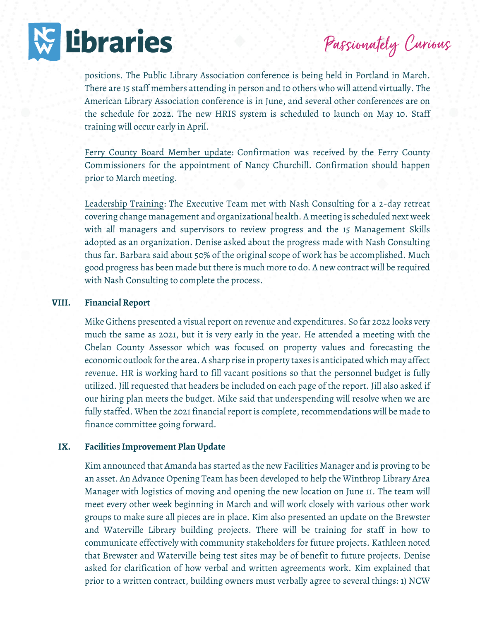

Passionately Curious

positions. The Public Library Association conference is being held in Portland in March. There are 15 staff members attending in person and 10 others who will attend virtually. The American Library Association conference is in June, and several other conferences are on the schedule for 2022. The new HRIS system is scheduled to launch on May 10. Staff training will occur early in April.

Ferry County Board Member update: Confirmation was received by the Ferry County Commissioners for the appointment of Nancy Churchill. Confirmation should happen prior to March meeting.

Leadership Training: The Executive Team met with Nash Consulting for a 2-day retreat covering change management and organizational health. A meeting is scheduled next week with all managers and supervisors to review progress and the 15 Management Skills adopted as an organization. Denise asked about the progress made with Nash Consulting thus far. Barbara said about 50% of the original scope of work has be accomplished. Much good progress has been made but there is much more to do. A new contract will be required with Nash Consulting to complete the process.

### **VIII. Financial Report**

Mike Githens presented a visual report on revenue and expenditures. So far 2022 looks very much the same as 2021, but it is very early in the year. He attended a meeting with the Chelan County Assessor which was focused on property values and forecasting the economic outlook for the area. A sharp rise in property taxes is anticipated which may affect revenue. HR is working hard to fill vacant positions so that the personnel budget is fully utilized. Jill requested that headers be included on each page of the report. Jill also asked if our hiring plan meets the budget. Mike said that underspending will resolve when we are fully staffed. When the 2021 financial report is complete, recommendations will be made to finance committee going forward.

### **IX. Facilities Improvement Plan Update**

Kim announced that Amanda has started as the new Facilities Manager and is proving to be an asset. An Advance Opening Team has been developed to help the Winthrop Library Area Manager with logistics of moving and opening the new location on June 11. The team will meet every other week beginning in March and will work closely with various other work groups to make sure all pieces are in place. Kim also presented an update on the Brewster and Waterville Library building projects. There will be training for staff in how to communicate effectively with community stakeholders for future projects. Kathleen noted that Brewster and Waterville being test sites may be of benefit to future projects. Denise asked for clarification of how verbal and written agreements work. Kim explained that prior to a written contract, building owners must verbally agree to several things: 1) NCW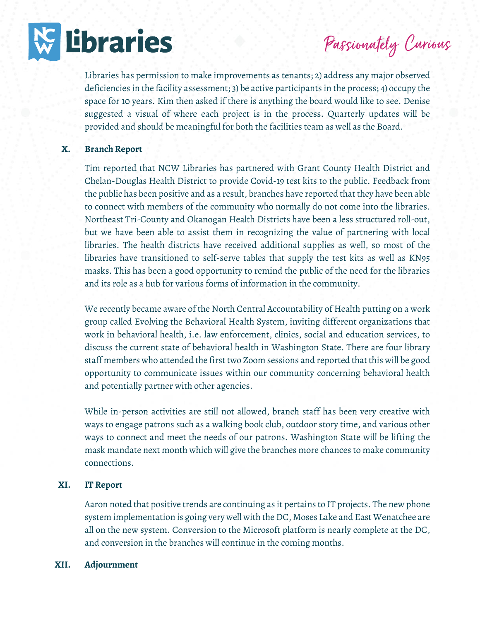

Passionately Curious

Libraries has permission to make improvements as tenants; 2) address any major observed deficiencies in the facility assessment; 3) be active participants in the process; 4) occupy the space for 10 years. Kim then asked if there is anything the board would like to see. Denise suggested a visual of where each project is in the process. Quarterly updates will be provided and should be meaningful for both the facilities team as well as the Board.

### **X. Branch Report**

Tim reported that NCW Libraries has partnered with Grant County Health District and Chelan-Douglas Health District to provide Covid-19 test kits to the public. Feedback from the public has been positive and as a result, branches have reported that they have been able to connect with members of the community who normally do not come into the libraries. Northeast Tri-County and Okanogan Health Districts have been a less structured roll-out, but we have been able to assist them in recognizing the value of partnering with local libraries. The health districts have received additional supplies as well, so most of the libraries have transitioned to self-serve tables that supply the test kits as well as KN95 masks. This has been a good opportunity to remind the public of the need for the libraries and its role as a hub for various forms of information in the community.

We recently became aware of the North Central Accountability of Health putting on a work group called Evolving the Behavioral Health System, inviting different organizations that work in behavioral health, i.e. law enforcement, clinics, social and education services, to discuss the current state of behavioral health in Washington State. There are four library staff members who attended the first two Zoom sessions and reported that this will be good opportunity to communicate issues within our community concerning behavioral health and potentially partner with other agencies.

While in-person activities are still not allowed, branch staff has been very creative with ways to engage patrons such as a walking book club, outdoor story time, and various other ways to connect and meet the needs of our patrons. Washington State will be lifting the mask mandate next month which will give the branches more chances to make community connections.

### **XI. IT Report**

Aaron noted that positive trends are continuing as it pertains to IT projects. The new phone system implementation is going very well with the DC, Moses Lake and East Wenatchee are all on the new system. Conversion to the Microsoft platform is nearly complete at the DC, and conversion in the branches will continue in the coming months.

### **XII. Adjournment**